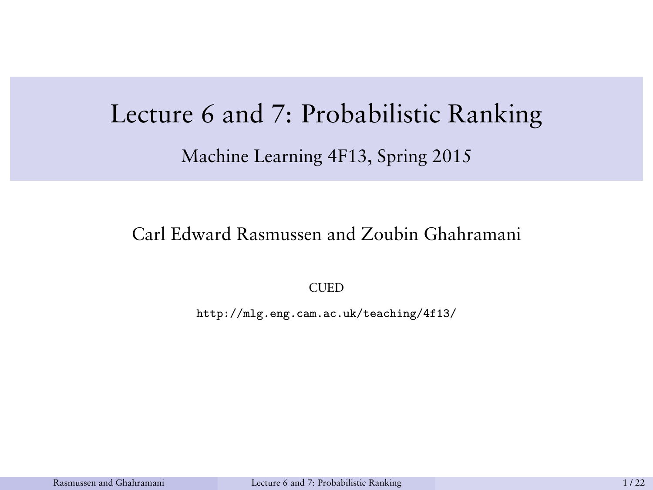# <span id="page-0-0"></span>Lecture 6 and 7: Probabilistic Ranking Machine Learning 4F13, Spring 2015

#### Carl Edward Rasmussen and Zoubin Ghahramani

**CUED** 

http://mlg.eng.cam.ac.uk/teaching/4f13/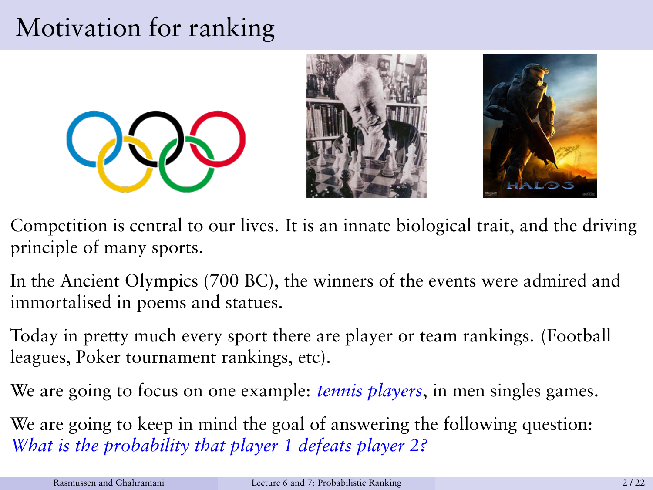## Motivation for ranking







- Competition is central to our lives. It is an innate biological trait, and the driving principle of many sports.
- In the Ancient Olympics (700 BC), the winners of the events were admired and immortalised in poems and statues.
- Today in pretty much every sport there are player or team rankings. (Football leagues, Poker tournament rankings, etc).
- We are going to focus on one example: *tennis players*, in men singles games.
- We are going to keep in mind the goal of answering the following question: *What is the probability that player 1 defeats player 2?*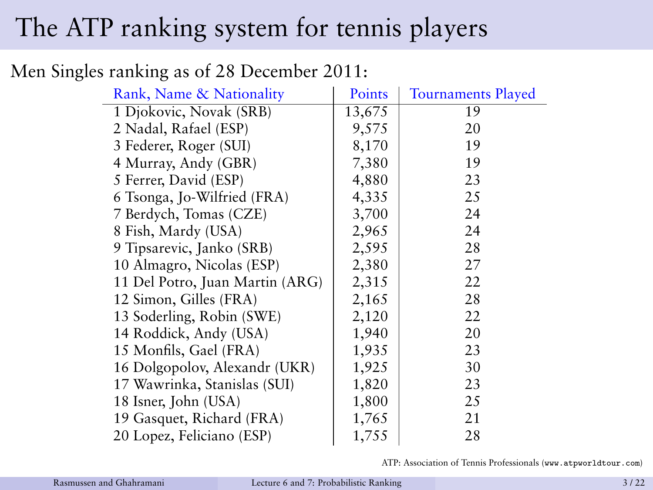## The ATP ranking system for tennis players

#### Men Singles ranking as of 28 December 2011:

| Rank, Name & Nationality        | Points | <b>Tournaments Played</b> |
|---------------------------------|--------|---------------------------|
| 1 Djokovic, Novak (SRB)         | 13,675 | 19                        |
| 2 Nadal, Rafael (ESP)           | 9,575  | 20                        |
| 3 Federer, Roger (SUI)          | 8,170  | 19                        |
| 4 Murray, Andy (GBR)            | 7,380  | 19                        |
| 5 Ferrer, David (ESP)           | 4,880  | 23                        |
| 6 Tsonga, Jo-Wilfried (FRA)     | 4,335  | 25                        |
| 7 Berdych, Tomas (CZE)          | 3,700  | 24                        |
| 8 Fish, Mardy (USA)             | 2,965  | 24                        |
| 9 Tipsarevic, Janko (SRB)       | 2,595  | 28                        |
| 10 Almagro, Nicolas (ESP)       | 2,380  | 27                        |
| 11 Del Potro, Juan Martin (ARG) | 2,315  | 22                        |
| 12 Simon, Gilles (FRA)          | 2,165  | 28                        |
| 13 Soderling, Robin (SWE)       | 2,120  | 22                        |
| 14 Roddick, Andy (USA)          | 1,940  | 20                        |
| 15 Monfils, Gael (FRA)          | 1,935  | 23                        |
| 16 Dolgopolov, Alexandr (UKR)   | 1,925  | 30                        |
| 17 Wawrinka, Stanislas (SUI)    | 1,820  | 23                        |
| 18 Isner, John (USA)            | 1,800  | 25                        |
| 19 Gasquet, Richard (FRA)       | 1,765  | 21                        |
| 20 Lopez, Feliciano (ESP)       | 1,755  | 28                        |

ATP: Association of Tennis Professionals (www.atpworldtour.com)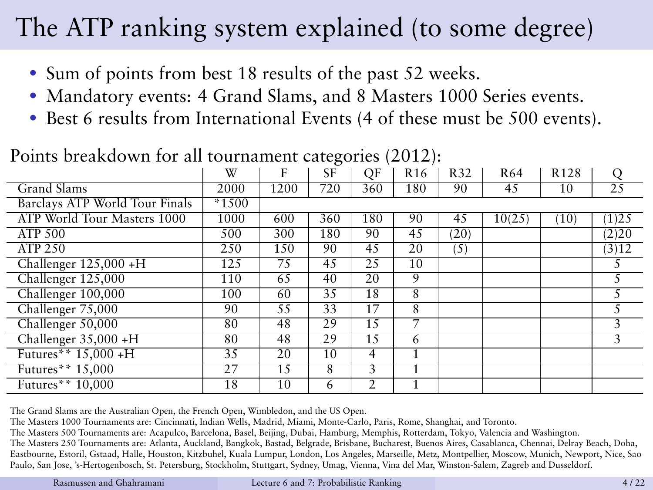## The ATP ranking system explained (to some degree)

- Sum of points from best 18 results of the past 52 weeks.
- Mandatory events: 4 Grand Slams, and 8 Masters 1000 Series events.
- Best 6 results from International Events (4 of these must be 500 events).

|                                | W       | F    | SF  | QF  | R <sub>16</sub> | R32  | R64    | R <sub>128</sub> | Q     |
|--------------------------------|---------|------|-----|-----|-----------------|------|--------|------------------|-------|
| Grand Slams                    | 2000    | 1200 | 720 | 360 | 180             | 90   | 45     | 10               | 25    |
| Barclays ATP World Tour Finals | $*1500$ |      |     |     |                 |      |        |                  |       |
| ATP World Tour Masters 1000    | 1000    | 600  | 360 | 180 | 90              | 45   | 10(25) | (10)             | (1)25 |
| <b>ATP 500</b>                 | 500     | 300  | 180 | 90  | 45              | (20) |        |                  | (2)20 |
| ATP 250                        | 250     | 150  | 90  | 45  | 20              | (5)  |        |                  | (3)12 |
| Challenger $125,000 + H$       | 125     | 75   | 45  | 25  | 10              |      |        |                  |       |
| Challenger 125,000             | 110     | 65   | 40  | 20  | 9               |      |        |                  | 5     |
| Challenger 100,000             | 100     | 60   | 35  | 18  | 8               |      |        |                  | 5     |
| Challenger 75,000              | 90      | 55   | 33  | 17  | 8               |      |        |                  | 5     |
| Challenger 50,000              | 80      | 48   | 29  | 15  | 7               |      |        |                  | 3     |
| Challenger $35,000 + H$        | 80      | 48   | 29  | 15  | 6               |      |        |                  | 3     |
| Futures** 15,000 +H            | 35      | 20   | 10  | 4   |                 |      |        |                  |       |
| Futures** 15,000               | 27      | 15   | 8   | 3   | 1               |      |        |                  |       |
| Futures** 10,000               | 18      | 10   | 6   | 2   |                 |      |        |                  |       |

#### Points breakdown for all tournament categories (2012):

The Grand Slams are the Australian Open, the French Open, Wimbledon, and the US Open.

The Masters 1000 Tournaments are: Cincinnati, Indian Wells, Madrid, Miami, Monte-Carlo, Paris, Rome, Shanghai, and Toronto.

The Masters 500 Tournaments are: Acapulco, Barcelona, Basel, Beijing, Dubai, Hamburg, Memphis, Rotterdam, Tokyo, Valencia and Washington.

The Masters 250 Tournaments are: Atlanta, Auckland, Bangkok, Bastad, Belgrade, Brisbane, Bucharest, Buenos Aires, Casablanca, Chennai, Delray Beach, Doha, Eastbourne, Estoril, Gstaad, Halle, Houston, Kitzbuhel, Kuala Lumpur, London, Los Angeles, Marseille, Metz, Montpellier, Moscow, Munich, Newport, Nice, Sao Paulo, San Jose, 's-Hertogenbosch, St. Petersburg, Stockholm, Stuttgart, Sydney, Umag, Vienna, Vina del Mar, Winston-Salem, Zagreb and Dusseldorf.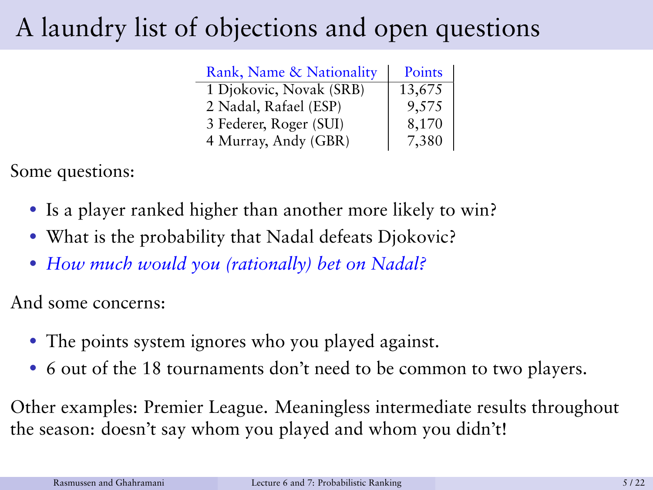## A laundry list of objections and open questions

| Rank, Name & Nationality | Points |
|--------------------------|--------|
| 1 Djokovic, Novak (SRB)  | 13,675 |
| 2 Nadal, Rafael (ESP)    | 9,575  |
| 3 Federer, Roger (SUI)   | 8,170  |
| 4 Murray, Andy (GBR)     | 7,380  |

Some questions:

- Is a player ranked higher than another more likely to win?
- What is the probability that Nadal defeats Djokovic?
- *How much would you (rationally) bet on Nadal?*

And some concerns:

- The points system ignores who you played against.
- 6 out of the 18 tournaments don't need to be common to two players.

Other examples: Premier League. Meaningless intermediate results throughout the season: doesn't say whom you played and whom you didn't!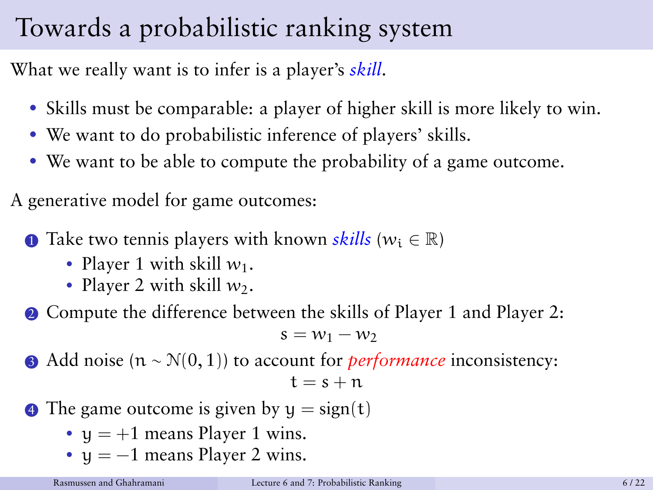## Towards a probabilistic ranking system

What we really want is to infer is a player's *skill*.

- Skills must be comparable: a player of higher skill is more likely to win.
- We want to do probabilistic inference of players' skills.
- We want to be able to compute the probability of a game outcome.

A generative model for game outcomes:

**1** Take two tennis players with known *skills* ( $w_i \in \mathbb{R}$ )

- Player 1 with skill  $w_1$ .
- Player 2 with skill  $w_2$ .

**2** Compute the difference between the skills of Player 1 and Player 2:

 $s = w_1 - w_2$ 

**3** Add noise (n ∼ N(0, 1)) to account for *performance* inconsistency:

$$
\mathsf{t}=\mathsf{s}+\mathsf{n}
$$

- $\bullet$  The game outcome is given by  $y = sign(t)$ 
	- $y = +1$  means Player 1 wins.
	- $y = -1$  means Player 2 wins.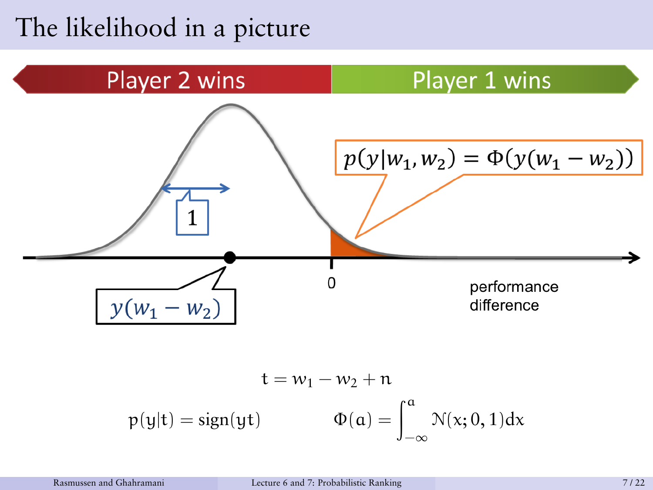### The likelihood in a picture



$$
t = w_1 - w_2 + n
$$
  

$$
p(y|t) = sign(yt) \qquad \Phi(a) = \int_{-\infty}^{a} \mathcal{N}(x; 0, 1) dx
$$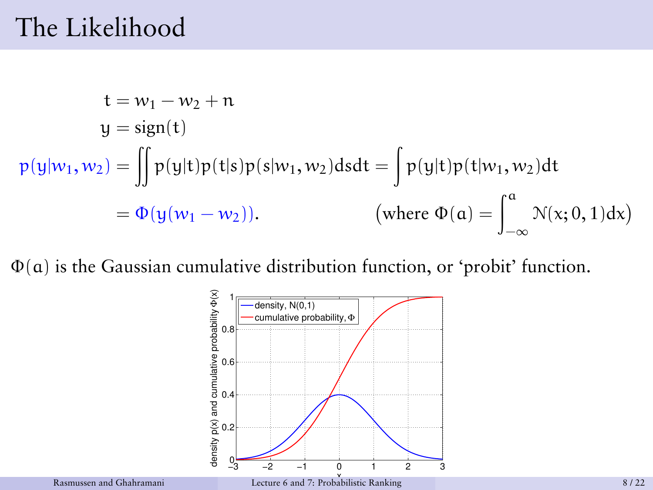### The Likelihood

$$
t = w_1 - w_2 + n
$$
  
\n
$$
y = sign(t)
$$
  
\n
$$
p(y|w_1, w_2) = \iint p(y|t)p(t|s)p(s|w_1, w_2)dsdt = \int p(y|t)p(t|w_1, w_2)dt
$$
  
\n
$$
= \Phi(y(w_1 - w_2)). \qquad \text{(where } \Phi(a) = \int_{-\infty}^{a} \mathcal{N}(x; 0, 1)dx\text{)}
$$

Φ(a) is the Gaussian cumulative distribution function, or 'probit' function.

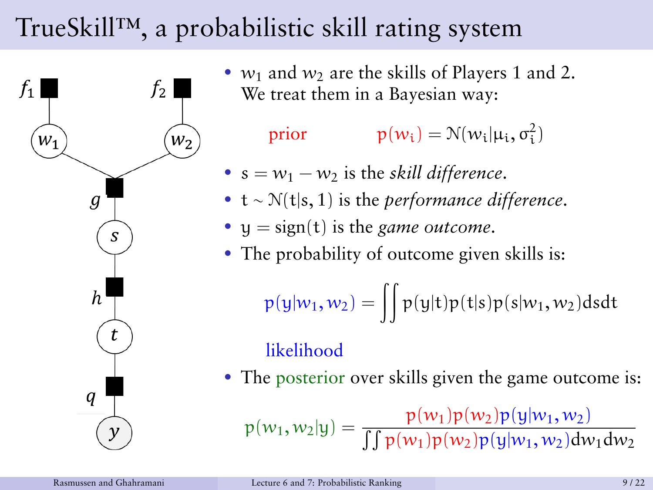## TrueSkill™, a probabilistic skill rating system



•  $w_1$  and  $w_2$  are the skills of Players 1 and 2. We treat them in a Bayesian way:

prior  $p(w_i) = \mathcal{N}(w_i | \mu_i, \sigma_i^2)$ 

- $s = w_1 w_2$  is the *skill difference*.
- t ∼ N(t|s, 1) is the *performance difference*.
- $y = sign(t)$  is the *game outcome*.
- The probability of outcome given skills is:

 $p(y|w_1, w_2) = \iint p(y|t)p(t|s)p(s|w_1, w_2)dsdt$ 

#### likelihood

• The posterior over skills given the game outcome is:

p(w1, w2|y) = p(w1)p(w2)p(y|w1, w2)  $\int \int p(w_1)p(w_2)p(y|w_1, w_2)dw_1dw_2$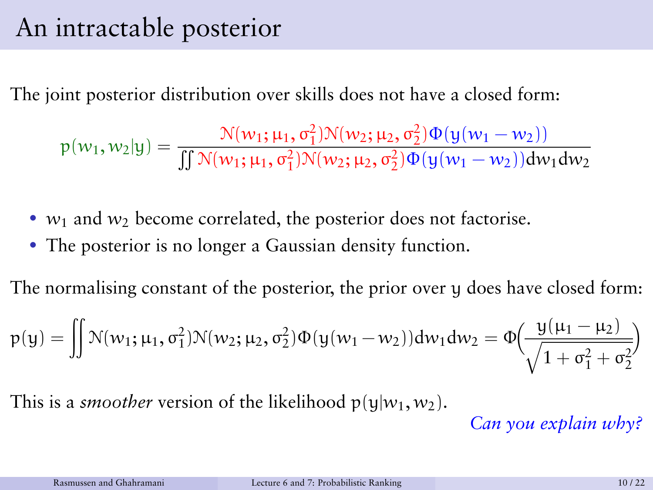### An intractable posterior

The joint posterior distribution over skills does not have a closed form:

$$
p(w_1, w_2|y) = \frac{\mathcal{N}(w_1; \mu_1, \sigma_1^2) \mathcal{N}(w_2; \mu_2, \sigma_2^2) \Phi(y(w_1 - w_2))}{\iint \mathcal{N}(w_1; \mu_1, \sigma_1^2) \mathcal{N}(w_2; \mu_2, \sigma_2^2) \Phi(y(w_1 - w_2)) dw_1 dw_2}
$$

- $w_1$  and  $w_2$  become correlated, the posterior does not factorise.
- The posterior is no longer a Gaussian density function.

The normalising constant of the posterior, the prior over y does have closed form:

$$
p(y) = \iint \mathcal{N}(w_1; \mu_1, \sigma_1^2) \mathcal{N}(w_2; \mu_2, \sigma_2^2) \Phi(y(w_1 - w_2)) dw_1 dw_2 = \Phi\left(\frac{y(\mu_1 - \mu_2)}{\sqrt{1 + \sigma_1^2 + \sigma_2^2}}\right)
$$

This is a *smoother* version of the likelihood  $p(y|w_1, w_2)$ .

*Can you explain why?*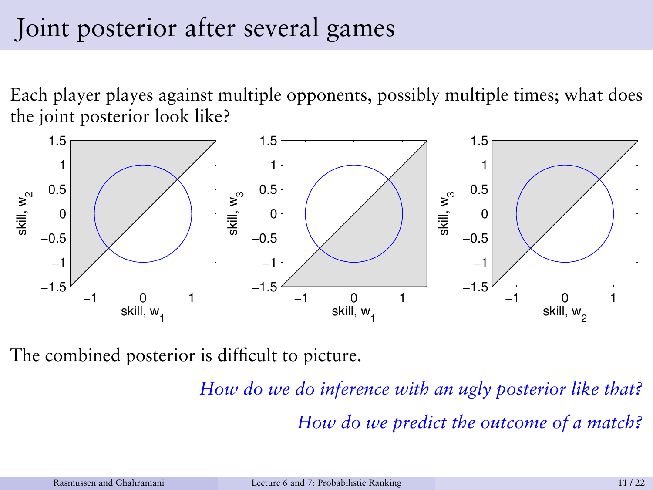## Joint posterior after several games

Each player playes against multiple opponents, possibly multiple times; what does the joint posterior look like?



The combined posterior is difficult to picture.

*How do we do inference with an ugly posterior like that? How do we predict the outcome of a match?*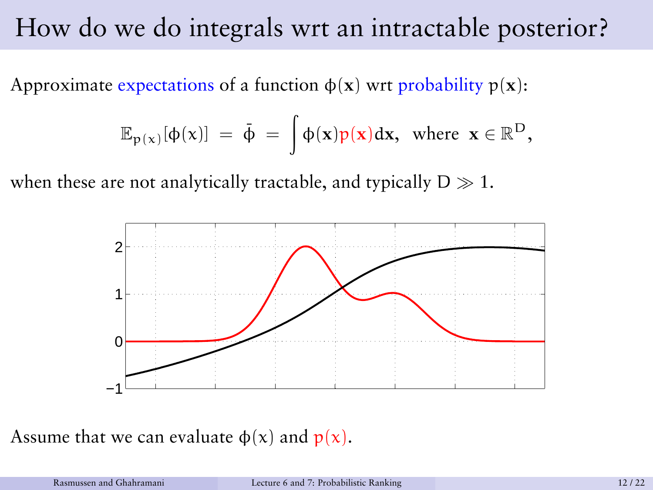### How do we do integrals wrt an intractable posterior?

Approximate expectations of a function  $\phi(\mathbf{x})$  wrt probability  $p(\mathbf{x})$ :

$$
\mathbb{E}_{p(x)}[\varphi(x)] = \bar{\varphi} = \int \varphi(x)p(x)dx, \text{ where } x \in \mathbb{R}^D,
$$

when these are not analytically tractable, and typically  $D \gg 1$ .



Assume that we can evaluate  $\phi(x)$  and  $p(x)$ .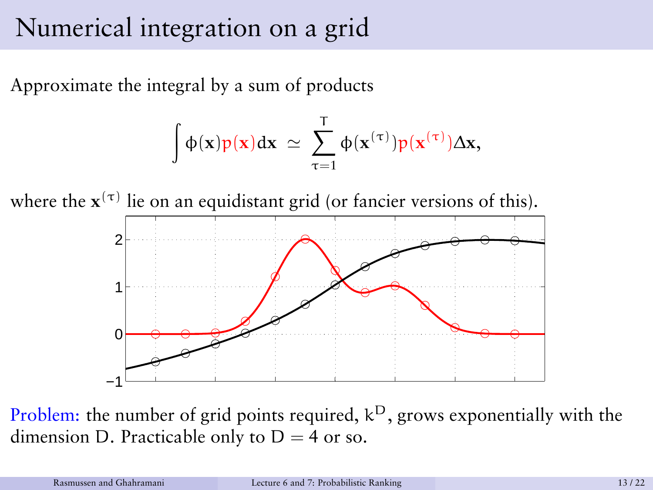#### Numerical integration on a grid

Approximate the integral by a sum of products

$$
\int \varphi(\mathbf{x})p(\mathbf{x})d\mathbf{x} \ \simeq \ \sum_{\tau=1}^T \varphi(\mathbf{x}^{(\tau)})p(\mathbf{x}^{(\tau)})\Delta \mathbf{x},
$$





Problem: the number of grid points required,  $k^D$ , grows exponentially with the dimension D. Practicable only to  $D = 4$  or so.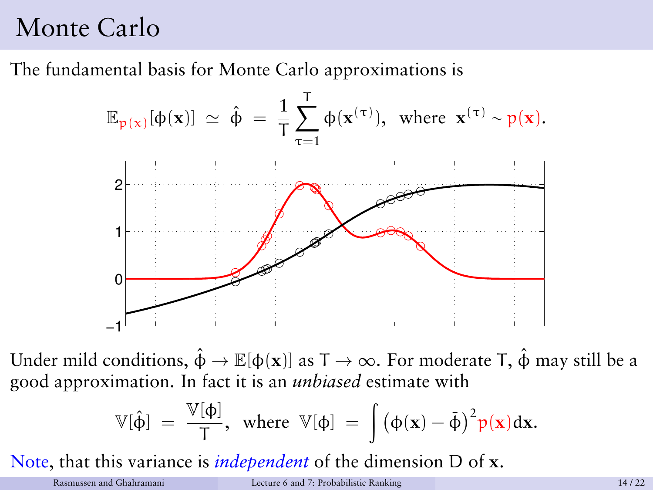### Monte Carlo

The fundamental basis for Monte Carlo approximations is



Under mild conditions,  $\hat{\phi} \rightarrow \mathbb{E}[\phi(\mathbf{x})]$  as  $T \rightarrow \infty$ . For moderate T,  $\hat{\phi}$  may still be a good approximation. In fact it is an *unbiased* estimate with

$$
\mathbb{V}[\hat{\varphi}]\;=\;\frac{\mathbb{V}[\varphi]}{T},\;\;\text{where}\;\;\mathbb{V}[\varphi]\;=\;\int \big(\varphi(x)-\tilde{\varphi}\big)^2 p(x)dx.
$$

Note, that this variance is *independent* of the dimension D of **x**.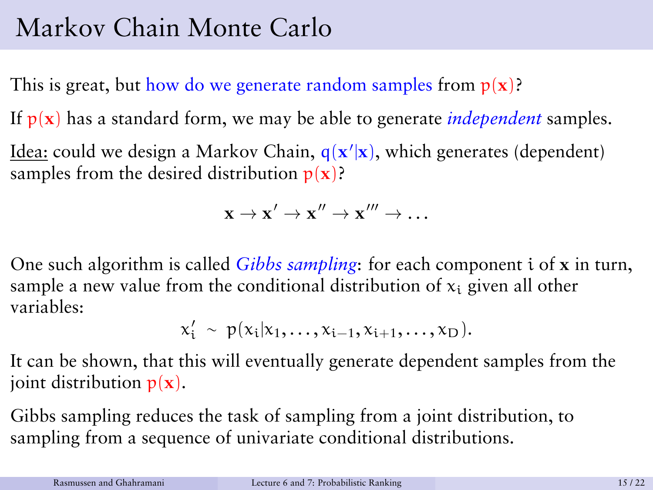## Markov Chain Monte Carlo

This is great, but how do we generate random samples from  $p(x)$ ?

If p(**x**) has a standard form, we may be able to generate *independent* samples.

Idea: could we design a Markov Chain, q(x'|x), which generates (dependent) samples from the desired distribution  $p(x)$ ?

$$
\mathbf{x} \to \mathbf{x}' \to \mathbf{x}'' \to \mathbf{x}''' \to \dots
$$

One such algorithm is called *Gibbs sampling*: for each component i of **x** in turn, sample a new value from the conditional distribution of  $x_i$  given all other variables:

$$
x'_i ~\sim ~ p(x_i|x_1,\ldots,x_{i-1},x_{i+1},\ldots,x_D).
$$

It can be shown, that this will eventually generate dependent samples from the joint distribution  $p(x)$ .

Gibbs sampling reduces the task of sampling from a joint distribution, to sampling from a sequence of univariate conditional distributions.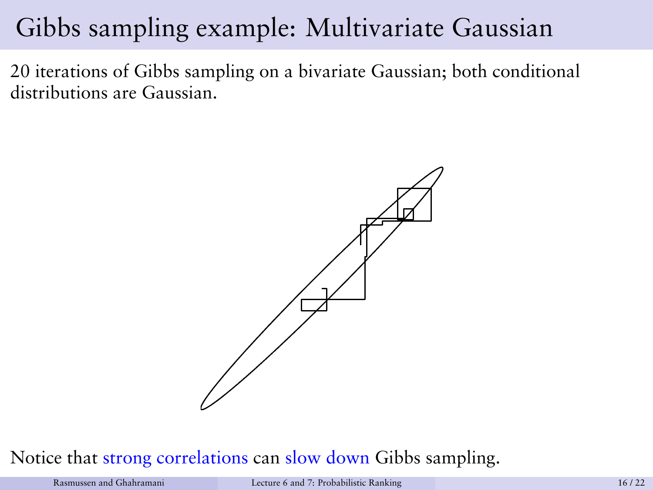### Gibbs sampling example: Multivariate Gaussian

20 iterations of Gibbs sampling on a bivariate Gaussian; both conditional distributions are Gaussian.



#### Notice that strong correlations can slow down Gibbs sampling.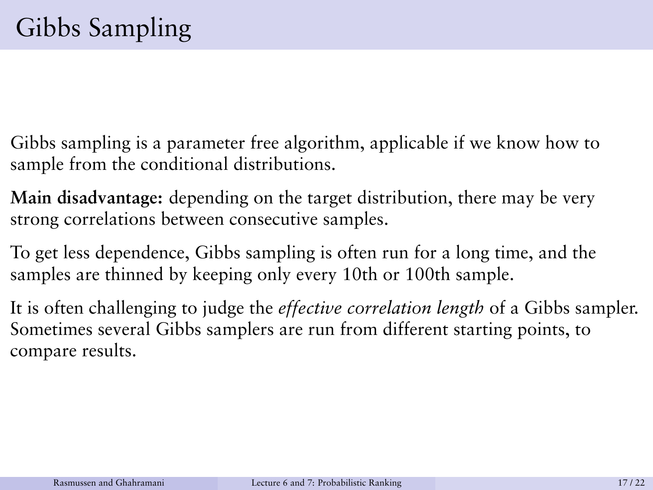- Gibbs sampling is a parameter free algorithm, applicable if we know how to sample from the conditional distributions.
- **Main disadvantage:** depending on the target distribution, there may be very strong correlations between consecutive samples.
- To get less dependence, Gibbs sampling is often run for a long time, and the samples are thinned by keeping only every 10th or 100th sample.
- It is often challenging to judge the *effective correlation length* of a Gibbs sampler. Sometimes several Gibbs samplers are run from different starting points, to compare results.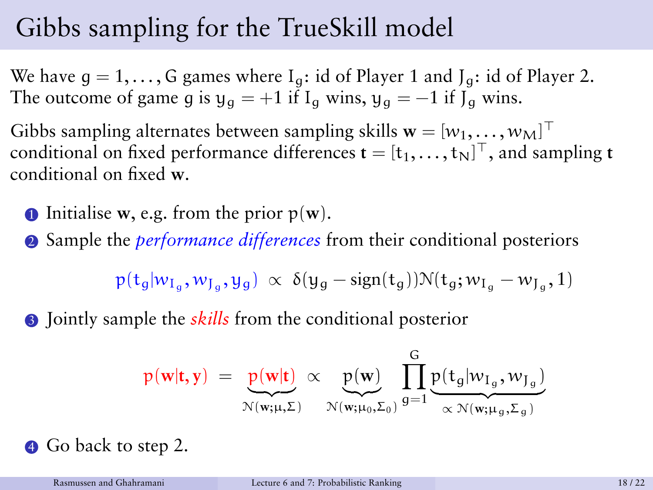## Gibbs sampling for the TrueSkill model

We have  $g = 1, \ldots, G$  games where  $I_q$ : id of Player 1 and  $J_g$ : id of Player 2. The outcome of game g is  $y_q = +1$  if  $I_q$  wins,  $y_q = -1$  if  $J_q$  wins.

Gibbs sampling alternates between sampling skills  $\mathbf{w} = [w_1, \dots, w_M]^\top$ conditional on fixed performance differences  $\mathbf{t} = [t_1, \dots, t_N]^\top,$  and sampling  $\mathbf{t}$ conditional on fixed **w**.

- **1** Initialise **w**, e.g. from the prior  $p(\mathbf{w})$ .
- <sup>2</sup> Sample the *performance differences* from their conditional posteriors

$$
p(t_g|w_{I_g},w_{J_g},y_g) \,\propto\, \delta(y_g - \text{sign}(t_g)) \mathcal{N}(t_g;w_{I_g} - w_{J_g}, 1)
$$

<sup>3</sup> Jointly sample the *skills* from the conditional posterior

$$
p(\mathbf{w}|\mathbf{t}, \mathbf{y}) = \underbrace{p(\mathbf{w}|\mathbf{t})}_{\mathcal{N}(\mathbf{w}; \boldsymbol{\mu}, \boldsymbol{\Sigma})} \propto \underbrace{p(\mathbf{w})}_{\mathcal{N}(\mathbf{w}; \boldsymbol{\mu}_0, \boldsymbol{\Sigma}_0)} \prod_{g=1}^{G} \underbrace{p(\mathbf{t}_g | \boldsymbol{w}_{I_g}, \boldsymbol{w}_{J_g})}_{\propto \mathcal{N}(\mathbf{w}; \boldsymbol{\mu}_g, \boldsymbol{\Sigma}_g)}
$$

**4** Go back to step 2.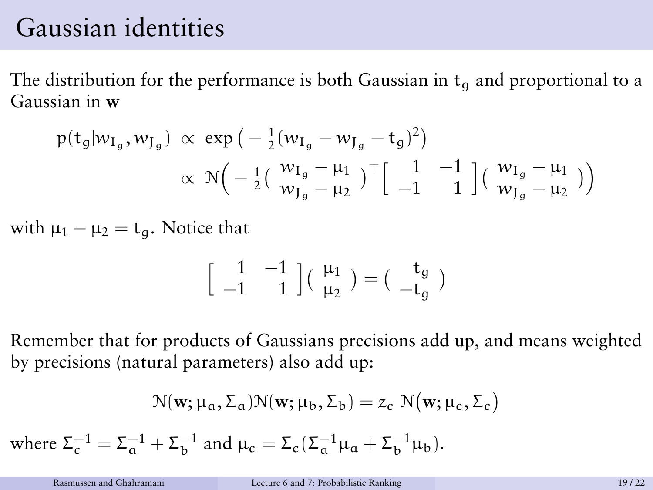#### Gaussian identities

The distribution for the performance is both Gaussian in  $t_q$  and proportional to a Gaussian in **w**

$$
p(t_g|w_{I_g}, w_{J_g}) \propto \exp\left(-\frac{1}{2}(w_{I_g} - w_{J_g} - t_g)^2\right) \n\propto \mathcal{N}\left(-\frac{1}{2}\left(\frac{w_{I_g} - \mu_1}{w_{J_g} - \mu_2}\right)^{\top}\left[\begin{array}{cc}1 & -1 \\-1 & 1\end{array}\right]\left(\begin{array}{c}w_{I_g} - \mu_1 \\w_{J_g} - \mu_2\end{array}\right)\right)
$$

with  $\mu_1 - \mu_2 = t_q$ . Notice that

$$
\left[\begin{array}{cc}1&-1\\-1&1\end{array}\right]\left(\begin{array}{c}\mu_1\\\mu_2\end{array}\right)=\left(\begin{array}{c}t_g\\-t_g\end{array}\right)
$$

Remember that for products of Gaussians precisions add up, and means weighted by precisions (natural parameters) also add up:

$$
\mathcal{N}(\mathbf{w}; \boldsymbol{\mu_{a}}, \boldsymbol{\Sigma_{a}}) \mathcal{N}(\mathbf{w}; \boldsymbol{\mu_{b}}, \boldsymbol{\Sigma_{b}}) = z_{c} ~ \mathcal{N}\big(\mathbf{w}; \boldsymbol{\mu_{c}}, \boldsymbol{\Sigma_{c}}\big)
$$

where  $\Sigma_c^{-1} = \Sigma_a^{-1} + \Sigma_b^{-1}$  and  $\mu_c = \Sigma_c (\Sigma_a^{-1} \mu_a + \Sigma_b^{-1} \mu_b)$ .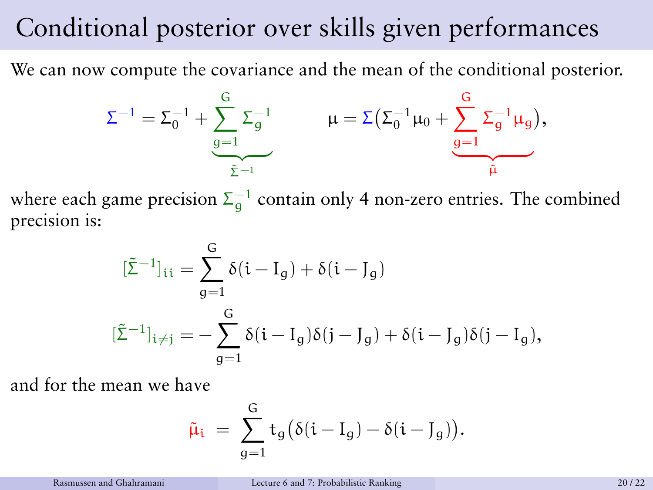### Conditional posterior over skills given performances

We can now compute the covariance and the mean of the conditional posterior.

$$
\Sigma^{-1} = \Sigma_0^{-1} + \underbrace{\sum_{g=1}^G \Sigma_g^{-1}}_{\tilde{\Sigma}^{-1}} \qquad \mu = \Sigma \big( \Sigma_0^{-1} \mu_0 + \underbrace{\sum_{g=1}^G \Sigma_g^{-1} \mu_g}_{\tilde{\mu}} \big),
$$

where each game precision  $\Sigma_g^{-1}$  contain only 4 non-zero entries. The combined precision is:

$$
\begin{aligned} [\tilde{\Sigma}^{-1}]_{ii} &= \sum_{g=1}^{G} \delta(i - I_g) + \delta(i - J_g) \\ [\tilde{\Sigma}^{-1}]_{i \neq j} &= -\sum_{g=1}^{G} \delta(i - I_g) \delta(j - J_g) + \delta(i - J_g) \delta(j - I_g), \end{aligned}
$$

and for the mean we have

$$
\tilde{\mu}_i \ = \ \sum_{g=1}^G t_g \big( \delta(i-I_g) - \delta(i-J_g) \big).
$$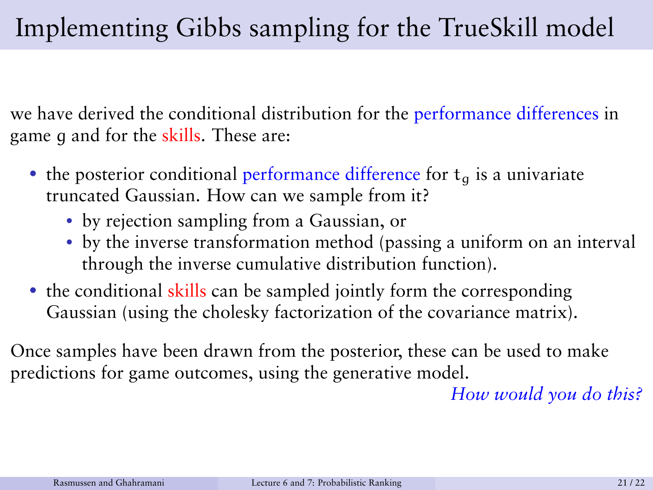we have derived the conditional distribution for the performance differences in game q and for the skills. These are:

- the posterior conditional performance difference for  $t<sub>a</sub>$  is a univariate truncated Gaussian. How can we sample from it?
	- by rejection sampling from a Gaussian, or
	- by the inverse transformation method (passing a uniform on an interval through the inverse cumulative distribution function).
- the conditional skills can be sampled jointly form the corresponding Gaussian (using the cholesky factorization of the covariance matrix).

Once samples have been drawn from the posterior, these can be used to make predictions for game outcomes, using the generative model.

*How would you do this?*